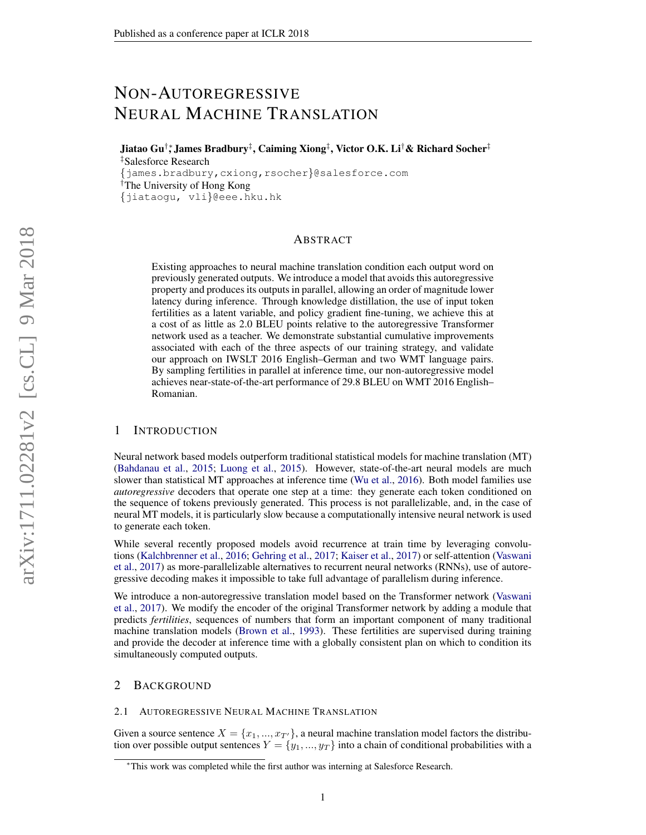# NON-AUTOREGRESSIVE NEURAL MACHINE TRANSLATION

Jiatao Gu†∗, James Bradbury‡ , Caiming Xiong‡ , Victor O.K. Li†& Richard Socher‡ ‡Salesforce Research

{james.bradbury,cxiong,rsocher}@salesforce.com †The University of Hong Kong {jiataogu, vli}@eee.hku.hk

## ABSTRACT

Existing approaches to neural machine translation condition each output word on previously generated outputs. We introduce a model that avoids this autoregressive property and produces its outputs in parallel, allowing an order of magnitude lower latency during inference. Through knowledge distillation, the use of input token fertilities as a latent variable, and policy gradient fine-tuning, we achieve this at a cost of as little as 2.0 BLEU points relative to the autoregressive Transformer network used as a teacher. We demonstrate substantial cumulative improvements associated with each of the three aspects of our training strategy, and validate our approach on IWSLT 2016 English–German and two WMT language pairs. By sampling fertilities in parallel at inference time, our non-autoregressive model achieves near-state-of-the-art performance of 29.8 BLEU on WMT 2016 English– Romanian.

#### 1 INTRODUCTION

Neural network based models outperform traditional statistical models for machine translation (MT) [\(Bahdanau et al.,](#page-9-0) [2015;](#page-9-0) [Luong et al.,](#page-10-0) [2015\)](#page-10-0). However, state-of-the-art neural models are much slower than statistical MT approaches at inference time [\(Wu et al.,](#page-10-1) [2016\)](#page-10-1). Both model families use *autoregressive* decoders that operate one step at a time: they generate each token conditioned on the sequence of tokens previously generated. This process is not parallelizable, and, in the case of neural MT models, it is particularly slow because a computationally intensive neural network is used to generate each token.

While several recently proposed models avoid recurrence at train time by leveraging convolutions [\(Kalchbrenner et al.,](#page-9-1) [2016;](#page-9-1) [Gehring et al.,](#page-9-2) [2017;](#page-9-2) [Kaiser et al.,](#page-9-3) [2017\)](#page-9-3) or self-attention [\(Vaswani](#page-10-2) [et al.,](#page-10-2) [2017\)](#page-10-2) as more-parallelizable alternatives to recurrent neural networks (RNNs), use of autoregressive decoding makes it impossible to take full advantage of parallelism during inference.

We introduce a non-autoregressive translation model based on the Transformer network [\(Vaswani](#page-10-2) [et al.,](#page-10-2) [2017\)](#page-10-2). We modify the encoder of the original Transformer network by adding a module that predicts *fertilities*, sequences of numbers that form an important component of many traditional machine translation models [\(Brown et al.,](#page-9-4) [1993\)](#page-9-4). These fertilities are supervised during training and provide the decoder at inference time with a globally consistent plan on which to condition its simultaneously computed outputs.

# 2 BACKGROUND

#### 2.1 AUTOREGRESSIVE NEURAL MACHINE TRANSLATION

Given a source sentence  $X = \{x_1, ..., x_{T'}\}\$ , a neural machine translation model factors the distribution over possible output sentences  $Y = \{y_1, ..., y_T\}$  into a chain of conditional probabilities with a

<sup>∗</sup>This work was completed while the first author was interning at Salesforce Research.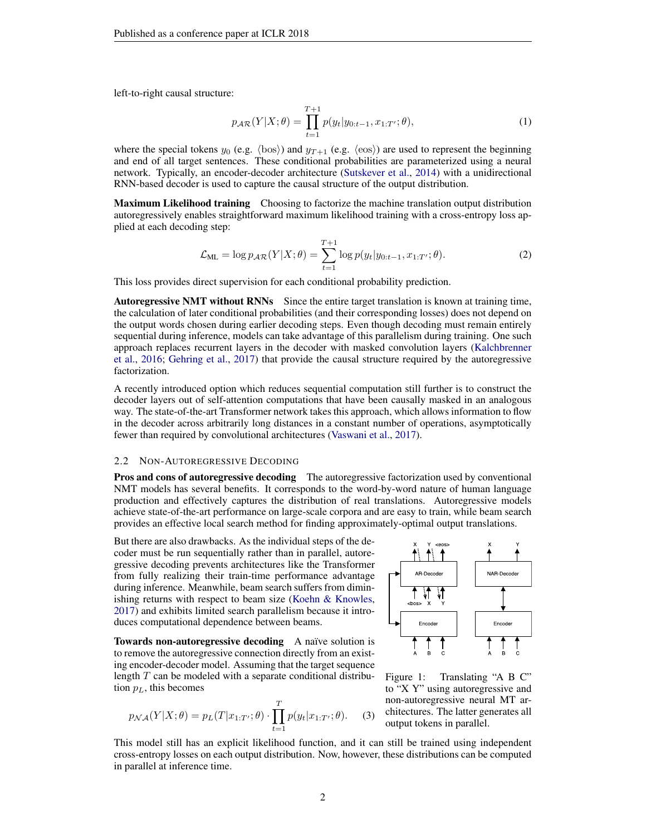left-to-right causal structure:

$$
p_{\mathcal{A}\mathcal{R}}(Y|X;\theta) = \prod_{t=1}^{T+1} p(y_t|y_{0:t-1}, x_{1:T'}; \theta),
$$
\n(1)

where the special tokens  $y_0$  (e.g.  $\langle \text{bos} \rangle$ ) and  $y_{T+1}$  (e.g.  $\langle \text{eos} \rangle$ ) are used to represent the beginning and end of all target sentences. These conditional probabilities are parameterized using a neural network. Typically, an encoder-decoder architecture [\(Sutskever et al.,](#page-10-3) [2014\)](#page-10-3) with a unidirectional RNN-based decoder is used to capture the causal structure of the output distribution.

Maximum Likelihood training Choosing to factorize the machine translation output distribution autoregressively enables straightforward maximum likelihood training with a cross-entropy loss applied at each decoding step:

$$
\mathcal{L}_{\text{ML}} = \log p_{\mathcal{AR}}(Y|X;\theta) = \sum_{t=1}^{T+1} \log p(y_t|y_{0:t-1}, x_{1:T'}; \theta). \tag{2}
$$

This loss provides direct supervision for each conditional probability prediction.

Autoregressive NMT without RNNs Since the entire target translation is known at training time, the calculation of later conditional probabilities (and their corresponding losses) does not depend on the output words chosen during earlier decoding steps. Even though decoding must remain entirely sequential during inference, models can take advantage of this parallelism during training. One such approach replaces recurrent layers in the decoder with masked convolution layers [\(Kalchbrenner](#page-9-1) [et al.,](#page-9-1) [2016;](#page-9-1) [Gehring et al.,](#page-9-2) [2017\)](#page-9-2) that provide the causal structure required by the autoregressive factorization.

A recently introduced option which reduces sequential computation still further is to construct the decoder layers out of self-attention computations that have been causally masked in an analogous way. The state-of-the-art Transformer network takes this approach, which allows information to flow in the decoder across arbitrarily long distances in a constant number of operations, asymptotically fewer than required by convolutional architectures [\(Vaswani et al.,](#page-10-2) [2017\)](#page-10-2).

#### 2.2 NON-AUTOREGRESSIVE DECODING

**Pros and cons of autoregressive decoding** The autoregressive factorization used by conventional NMT models has several benefits. It corresponds to the word-by-word nature of human language production and effectively captures the distribution of real translations. Autoregressive models achieve state-of-the-art performance on large-scale corpora and are easy to train, while beam search provides an effective local search method for finding approximately-optimal output translations.

But there are also drawbacks. As the individual steps of the decoder must be run sequentially rather than in parallel, autoregressive decoding prevents architectures like the Transformer from fully realizing their train-time performance advantage during inference. Meanwhile, beam search suffers from diminishing returns with respect to beam size [\(Koehn & Knowles,](#page-10-4) [2017\)](#page-10-4) and exhibits limited search parallelism because it introduces computational dependence between beams.

Towards non-autoregressive decoding A naïve solution is to remove the autoregressive connection directly from an existing encoder-decoder model. Assuming that the target sequence length  $T$  can be modeled with a separate conditional distribution  $p<sub>L</sub>$ , this becomes

<span id="page-1-0"></span>
$$
p_{\mathcal{NA}}(Y|X;\theta) = p_L(T|x_{1:T'};\theta) \cdot \prod_{t=1}^T p(y_t|x_{1:T'};\theta). \tag{3}
$$



Figure 1: Translating "A B C" to "X Y" using autoregressive and non-autoregressive neural MT architectures. The latter generates all output tokens in parallel.

This model still has an explicit likelihood function, and it can still be trained using independent cross-entropy losses on each output distribution. Now, however, these distributions can be computed in parallel at inference time.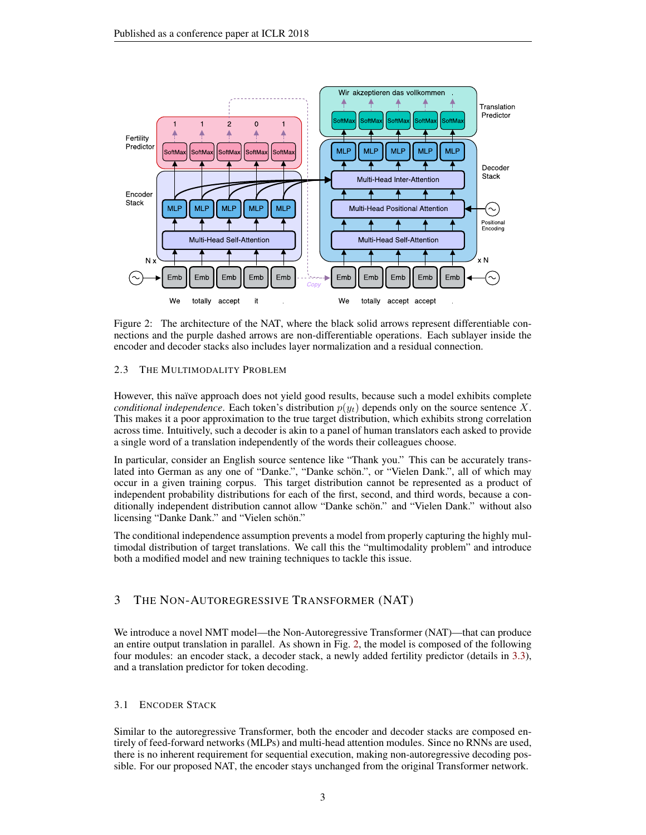

<span id="page-2-0"></span>Figure 2: The architecture of the NAT, where the black solid arrows represent differentiable connections and the purple dashed arrows are non-differentiable operations. Each sublayer inside the encoder and decoder stacks also includes layer normalization and a residual connection.

# 2.3 THE MULTIMODALITY PROBLEM

However, this naïve approach does not yield good results, because such a model exhibits complete *conditional independence*. Each token's distribution  $p(y_t)$  depends only on the source sentence X. This makes it a poor approximation to the true target distribution, which exhibits strong correlation across time. Intuitively, such a decoder is akin to a panel of human translators each asked to provide a single word of a translation independently of the words their colleagues choose.

In particular, consider an English source sentence like "Thank you." This can be accurately translated into German as any one of "Danke.", "Danke schön.", or "Vielen Dank.", all of which may occur in a given training corpus. This target distribution cannot be represented as a product of independent probability distributions for each of the first, second, and third words, because a conditionally independent distribution cannot allow "Danke schön." and "Vielen Dank." without also licensing "Danke Dank." and "Vielen schön."

The conditional independence assumption prevents a model from properly capturing the highly multimodal distribution of target translations. We call this the "multimodality problem" and introduce both a modified model and new training techniques to tackle this issue.

# 3 THE NON-AUTOREGRESSIVE TRANSFORMER (NAT)

We introduce a novel NMT model—the Non-Autoregressive Transformer (NAT)—that can produce an entire output translation in parallel. As shown in Fig. [2,](#page-2-0) the model is composed of the following four modules: an encoder stack, a decoder stack, a newly added fertility predictor (details in [3.3\)](#page-3-0), and a translation predictor for token decoding.

# 3.1 ENCODER STACK

Similar to the autoregressive Transformer, both the encoder and decoder stacks are composed entirely of feed-forward networks (MLPs) and multi-head attention modules. Since no RNNs are used, there is no inherent requirement for sequential execution, making non-autoregressive decoding possible. For our proposed NAT, the encoder stays unchanged from the original Transformer network.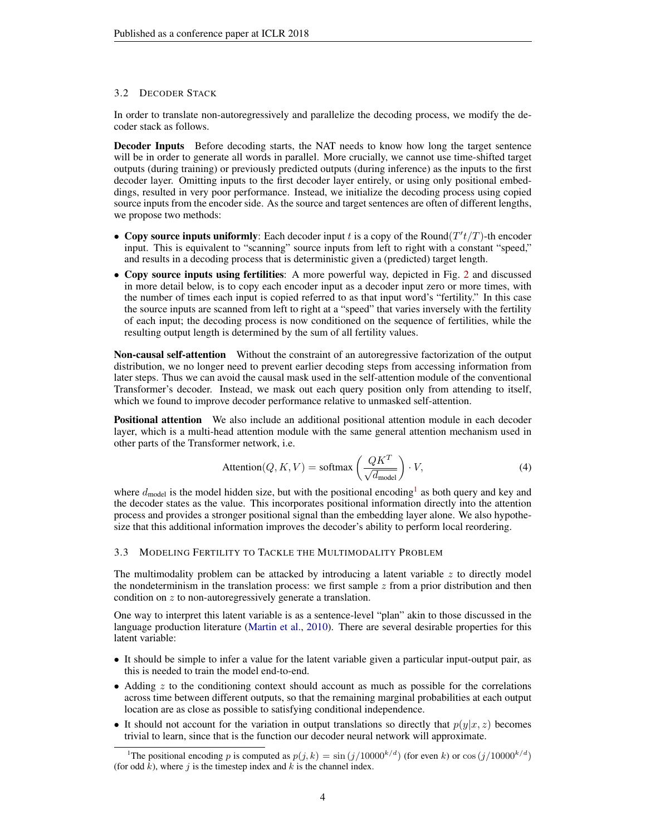### 3.2 DECODER STACK

In order to translate non-autoregressively and parallelize the decoding process, we modify the decoder stack as follows.

Decoder Inputs Before decoding starts, the NAT needs to know how long the target sentence will be in order to generate all words in parallel. More crucially, we cannot use time-shifted target outputs (during training) or previously predicted outputs (during inference) as the inputs to the first decoder layer. Omitting inputs to the first decoder layer entirely, or using only positional embeddings, resulted in very poor performance. Instead, we initialize the decoding process using copied source inputs from the encoder side. As the source and target sentences are often of different lengths, we propose two methods:

- Copy source inputs uniformly: Each decoder input t is a copy of the Round $(T't/T)$ -th encoder input. This is equivalent to "scanning" source inputs from left to right with a constant "speed," and results in a decoding process that is deterministic given a (predicted) target length.
- Copy source inputs using fertilities: A more powerful way, depicted in Fig. [2](#page-2-0) and discussed in more detail below, is to copy each encoder input as a decoder input zero or more times, with the number of times each input is copied referred to as that input word's "fertility." In this case the source inputs are scanned from left to right at a "speed" that varies inversely with the fertility of each input; the decoding process is now conditioned on the sequence of fertilities, while the resulting output length is determined by the sum of all fertility values.

Non-causal self-attention Without the constraint of an autoregressive factorization of the output distribution, we no longer need to prevent earlier decoding steps from accessing information from later steps. Thus we can avoid the causal mask used in the self-attention module of the conventional Transformer's decoder. Instead, we mask out each query position only from attending to itself, which we found to improve decoder performance relative to unmasked self-attention.

Positional attention We also include an additional positional attention module in each decoder layer, which is a multi-head attention module with the same general attention mechanism used in other parts of the Transformer network, i.e.

$$
Attention(Q, K, V) = softmax\left(\frac{QK^T}{\sqrt{d_{model}}}\right) \cdot V,
$$
\n(4)

where  $d_{\text{model}}$  is the model hidden size, but with the positional encoding<sup>[1](#page-3-1)</sup> as both query and key and the decoder states as the value. This incorporates positional information directly into the attention process and provides a stronger positional signal than the embedding layer alone. We also hypothesize that this additional information improves the decoder's ability to perform local reordering.

#### <span id="page-3-0"></span>3.3 MODELING FERTILITY TO TACKLE THE MULTIMODALITY PROBLEM

The multimodality problem can be attacked by introducing a latent variable  $z$  to directly model the nondeterminism in the translation process: we first sample  $z$  from a prior distribution and then condition on z to non-autoregressively generate a translation.

One way to interpret this latent variable is as a sentence-level "plan" akin to those discussed in the language production literature [\(Martin et al.,](#page-10-5) [2010\)](#page-10-5). There are several desirable properties for this latent variable:

- It should be simple to infer a value for the latent variable given a particular input-output pair, as this is needed to train the model end-to-end.
- Adding  $z$  to the conditioning context should account as much as possible for the correlations across time between different outputs, so that the remaining marginal probabilities at each output location are as close as possible to satisfying conditional independence.
- It should not account for the variation in output translations so directly that  $p(y|x, z)$  becomes trivial to learn, since that is the function our decoder neural network will approximate.

<span id="page-3-1"></span><sup>&</sup>lt;sup>1</sup>The positional encoding p is computed as  $p(j, k) = \sin(j/10000^{k/d})$  (for even k) or cos  $(j/10000^{k/d})$ (for odd  $k$ ), where  $j$  is the timestep index and  $k$  is the channel index.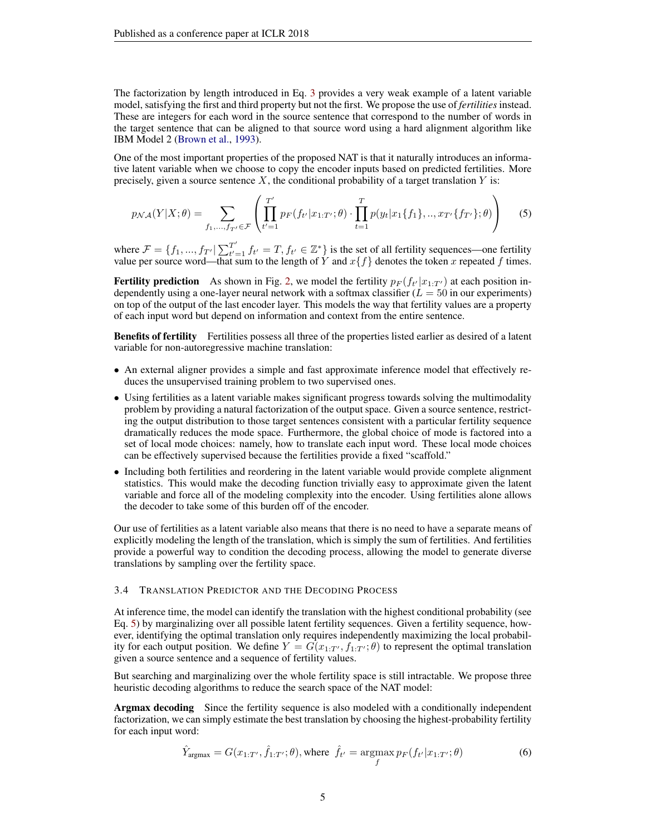The factorization by length introduced in Eq. [3](#page-1-0) provides a very weak example of a latent variable model, satisfying the first and third property but not the first. We propose the use of *fertilities* instead. These are integers for each word in the source sentence that correspond to the number of words in the target sentence that can be aligned to that source word using a hard alignment algorithm like IBM Model 2 [\(Brown et al.,](#page-9-4) [1993\)](#page-9-4).

One of the most important properties of the proposed NAT is that it naturally introduces an informative latent variable when we choose to copy the encoder inputs based on predicted fertilities. More precisely, given a source sentence  $X$ , the conditional probability of a target translation  $Y$  is:

<span id="page-4-0"></span>
$$
p_{\mathcal{NA}}(Y|X;\theta) = \sum_{f_1,\dots,f_{T'} \in \mathcal{F}} \left( \prod_{t'=1}^{T'} p_F(f_{t'}|x_{1:T'};\theta) \cdot \prod_{t=1}^T p(y_t|x_1\{f_1\},\dots,x_{T'}\{f_{T'}\};\theta) \right) \tag{5}
$$

where  $\mathcal{F} = \{f_1, ..., f_{T'} | \sum_{t'=1}^{T'}$  $T'_{t'=1}$   $f_{t'} = T$ ,  $f_{t'} \in \mathbb{Z}^*$  is the set of all fertility sequences—one fertility value per source word—that sum to the length of Y and  $x{f}$  denotes the token x repeated f times.

**Fertility prediction** As shown in Fig. [2,](#page-2-0) we model the fertility  $p_F(f_{t'}|x_{1:T'})$  at each position independently using a one-layer neural network with a softmax classifier  $(L = 50$  in our experiments) on top of the output of the last encoder layer. This models the way that fertility values are a property of each input word but depend on information and context from the entire sentence.

Benefits of fertility Fertilities possess all three of the properties listed earlier as desired of a latent variable for non-autoregressive machine translation:

- An external aligner provides a simple and fast approximate inference model that effectively reduces the unsupervised training problem to two supervised ones.
- Using fertilities as a latent variable makes significant progress towards solving the multimodality problem by providing a natural factorization of the output space. Given a source sentence, restricting the output distribution to those target sentences consistent with a particular fertility sequence dramatically reduces the mode space. Furthermore, the global choice of mode is factored into a set of local mode choices: namely, how to translate each input word. These local mode choices can be effectively supervised because the fertilities provide a fixed "scaffold."
- Including both fertilities and reordering in the latent variable would provide complete alignment statistics. This would make the decoding function trivially easy to approximate given the latent variable and force all of the modeling complexity into the encoder. Using fertilities alone allows the decoder to take some of this burden off of the encoder.

Our use of fertilities as a latent variable also means that there is no need to have a separate means of explicitly modeling the length of the translation, which is simply the sum of fertilities. And fertilities provide a powerful way to condition the decoding process, allowing the model to generate diverse translations by sampling over the fertility space.

#### 3.4 TRANSLATION PREDICTOR AND THE DECODING PROCESS

At inference time, the model can identify the translation with the highest conditional probability (see Eq. [5\)](#page-4-0) by marginalizing over all possible latent fertility sequences. Given a fertility sequence, however, identifying the optimal translation only requires independently maximizing the local probability for each output position. We define  $Y = G(x_{1:T}, f_{1:T}; \theta)$  to represent the optimal translation given a source sentence and a sequence of fertility values.

But searching and marginalizing over the whole fertility space is still intractable. We propose three heuristic decoding algorithms to reduce the search space of the NAT model:

Argmax decoding Since the fertility sequence is also modeled with a conditionally independent factorization, we can simply estimate the best translation by choosing the highest-probability fertility for each input word:

$$
\hat{Y}_{\text{argmax}} = G(x_{1:T'}, \hat{f}_{1:T'}; \theta), \text{where } \hat{f}_{t'} = \underset{f}{\text{argmax}} p_F(f_{t'} | x_{1:T'}; \theta) \tag{6}
$$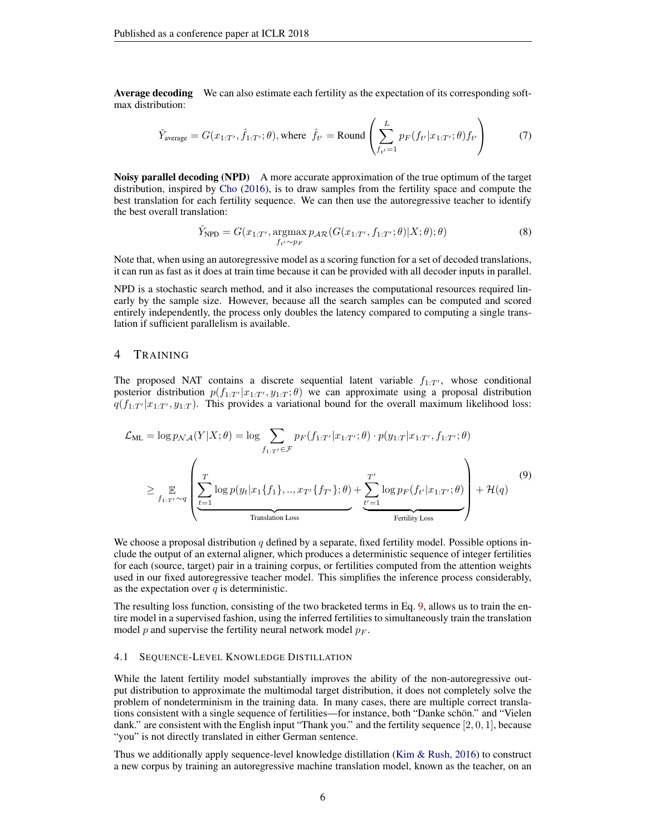Average decoding We can also estimate each fertility as the expectation of its corresponding softmax distribution:

<span id="page-5-1"></span>
$$
\hat{Y}_{\text{average}} = G(x_{1:T'}, \hat{f}_{1:T'}; \theta), \text{where } \hat{f}_{t'} = \text{Round}\left(\sum_{f_{t'}=1}^{L} p_F(f_{t'} | x_{1:T'}; \theta) f_{t'}\right) \tag{7}
$$

**Noisy parallel decoding (NPD)** A more accurate approximation of the true optimum of the target distribution, inspired by [Cho](#page-9-5) [\(2016\)](#page-9-5), is to draw samples from the fertility space and compute the best translation for each fertility sequence. We can then use the autoregressive teacher to identify the best overall translation:

$$
\hat{Y}_{\text{NPD}} = G(x_{1:T'}, \underset{f_{t'} \sim p_F}{\text{argmax}} p_{\mathcal{AR}}(G(x_{1:T'}, f_{1:T'}; \theta)|X; \theta); \theta)
$$
\n(8)

Note that, when using an autoregressive model as a scoring function for a set of decoded translations, it can run as fast as it does at train time because it can be provided with all decoder inputs in parallel.

NPD is a stochastic search method, and it also increases the computational resources required linearly by the sample size. However, because all the search samples can be computed and scored entirely independently, the process only doubles the latency compared to computing a single translation if sufficient parallelism is available.

# 4 TRAINING

The proposed NAT contains a discrete sequential latent variable  $f_{1:T}$ , whose conditional posterior distribution  $p(f_{1:T'} | x_{1:T}, y_{1:T}; \theta)$  we can approximate using a proposal distribution  $q(f_{1:T'}|x_{1:T'}, y_{1:T})$ . This provides a variational bound for the overall maximum likelihood loss:

<span id="page-5-0"></span>
$$
\mathcal{L}_{ML} = \log p_{\mathcal{NA}}(Y|X;\theta) = \log \sum_{f_{1:T'} \in \mathcal{F}} p_F(f_{1:T'}|x_{1:T'};\theta) \cdot p(y_{1:T}|x_{1:T'}, f_{1:T'};\theta)
$$
\n
$$
\geq \mathop{\mathbb{E}}_{f_{1:T'} \sim q} \left( \frac{T}{\sum_{t=1}^T \log p(y_t|x_1\{f_1\}, ..., x_{T'}\{f_{T'}\};\theta) + \sum_{t'=1}^{T'} \log p_F(f_{t'}|x_{1:T'};\theta)} + \mathcal{H}(q) \right)
$$
\n(9)

We choose a proposal distribution q defined by a separate, fixed fertility model. Possible options include the output of an external aligner, which produces a deterministic sequence of integer fertilities for each (source, target) pair in a training corpus, or fertilities computed from the attention weights used in our fixed autoregressive teacher model. This simplifies the inference process considerably, as the expectation over  $q$  is deterministic.

The resulting loss function, consisting of the two bracketed terms in Eq. [9,](#page-5-0) allows us to train the entire model in a supervised fashion, using the inferred fertilities to simultaneously train the translation model p and supervise the fertility neural network model  $p_F$ .

#### 4.1 SEQUENCE-LEVEL KNOWLEDGE DISTILLATION

While the latent fertility model substantially improves the ability of the non-autoregressive output distribution to approximate the multimodal target distribution, it does not completely solve the problem of nondeterminism in the training data. In many cases, there are multiple correct translations consistent with a single sequence of fertilities—for instance, both "Danke schön." and "Vielen dank." are consistent with the English input "Thank you." and the fertility sequence  $[2, 0, 1]$ , because "you" is not directly translated in either German sentence.

Thus we additionally apply sequence-level knowledge distillation [\(Kim & Rush,](#page-9-6) [2016\)](#page-9-6) to construct a new corpus by training an autoregressive machine translation model, known as the teacher, on an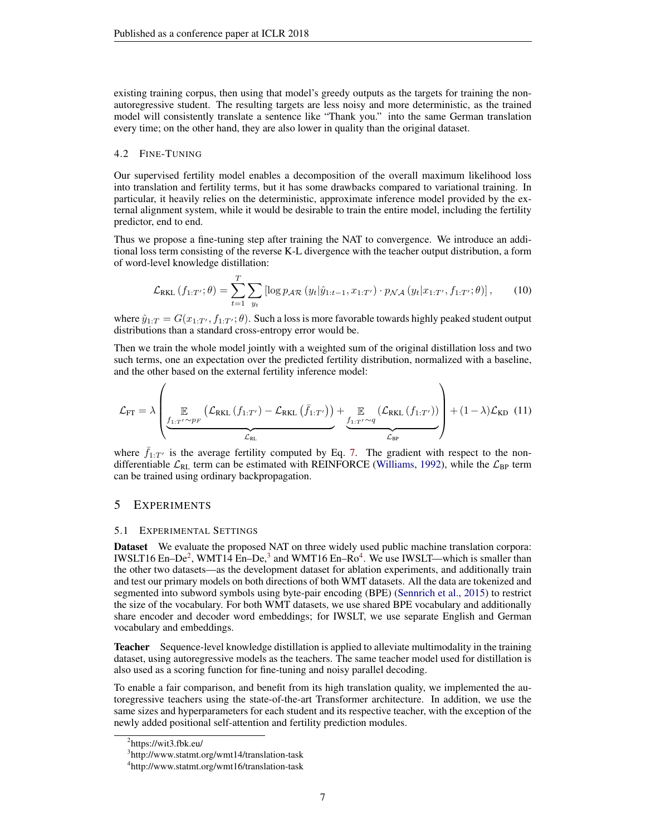existing training corpus, then using that model's greedy outputs as the targets for training the nonautoregressive student. The resulting targets are less noisy and more deterministic, as the trained model will consistently translate a sentence like "Thank you." into the same German translation every time; on the other hand, they are also lower in quality than the original dataset.

### 4.2 FINE-TUNING

Our supervised fertility model enables a decomposition of the overall maximum likelihood loss into translation and fertility terms, but it has some drawbacks compared to variational training. In particular, it heavily relies on the deterministic, approximate inference model provided by the external alignment system, while it would be desirable to train the entire model, including the fertility predictor, end to end.

Thus we propose a fine-tuning step after training the NAT to convergence. We introduce an additional loss term consisting of the reverse K-L divergence with the teacher output distribution, a form of word-level knowledge distillation:

$$
\mathcal{L}_{\text{RKL}}\left(f_{1:T'};\theta\right) = \sum_{t=1}^{T} \sum_{y_t} \left[ \log p_{\mathcal{AR}}\left(y_t|\hat{y}_{1:t-1}, x_{1:T'}\right) \cdot p_{\mathcal{NA}}\left(y_t|x_{1:T'}, f_{1:T'}; \theta\right) \right],\tag{10}
$$

where  $\hat{y}_{1:T} = G(x_{1:T'}, f_{1:T'}; \theta)$ . Such a loss is more favorable towards highly peaked student output distributions than a standard cross-entropy error would be.

Then we train the whole model jointly with a weighted sum of the original distillation loss and two such terms, one an expectation over the predicted fertility distribution, normalized with a baseline, and the other based on the external fertility inference model:

$$
\mathcal{L}_{FT} = \lambda \left( \underbrace{\mathbb{E}_{f_{1:T'} \sim p_F} \left( \mathcal{L}_{RKL} \left( f_{1:T'} \right) - \mathcal{L}_{RKL} \left( \bar{f}_{1:T'} \right) \right)}_{\mathcal{L}_{RL}} + \underbrace{\mathbb{E}_{f_{1:T'} \sim q} \left( \mathcal{L}_{RKL} \left( f_{1:T'} \right) \right)}_{\mathcal{L}_{BP}} \right) + (1 - \lambda) \mathcal{L}_{KD} \tag{11}
$$

where  $f_{1:T'}$  is the average fertility computed by Eq. [7.](#page-5-1) The gradient with respect to the nondifferentiable  $\mathcal{L}_{RL}$  term can be estimated with REINFORCE [\(Williams,](#page-10-6) [1992\)](#page-10-6), while the  $\mathcal{L}_{BP}$  term can be trained using ordinary backpropagation.

# 5 EXPERIMENTS

#### 5.1 EXPERIMENTAL SETTINGS

Dataset We evaluate the proposed NAT on three widely used public machine translation corpora: IWSLT16 En–De<sup>[2](#page-6-0)</sup>, WMT14 En–De,<sup>[3](#page-6-1)</sup> and WMT16 En–Ro<sup>[4](#page-6-2)</sup>. We use IWSLT—which is smaller than the other two datasets—as the development dataset for ablation experiments, and additionally train and test our primary models on both directions of both WMT datasets. All the data are tokenized and segmented into subword symbols using byte-pair encoding (BPE) [\(Sennrich et al.,](#page-10-7) [2015\)](#page-10-7) to restrict the size of the vocabulary. For both WMT datasets, we use shared BPE vocabulary and additionally share encoder and decoder word embeddings; for IWSLT, we use separate English and German vocabulary and embeddings.

**Teacher** Sequence-level knowledge distillation is applied to alleviate multimodality in the training dataset, using autoregressive models as the teachers. The same teacher model used for distillation is also used as a scoring function for fine-tuning and noisy parallel decoding.

To enable a fair comparison, and benefit from its high translation quality, we implemented the autoregressive teachers using the state-of-the-art Transformer architecture. In addition, we use the same sizes and hyperparameters for each student and its respective teacher, with the exception of the newly added positional self-attention and fertility prediction modules.

<span id="page-6-0"></span><sup>&</sup>lt;sup>2</sup>https://wit3.fbk.eu/

<span id="page-6-1"></span><sup>3</sup> http://www.statmt.org/wmt14/translation-task

<span id="page-6-2"></span><sup>4</sup> http://www.statmt.org/wmt16/translation-task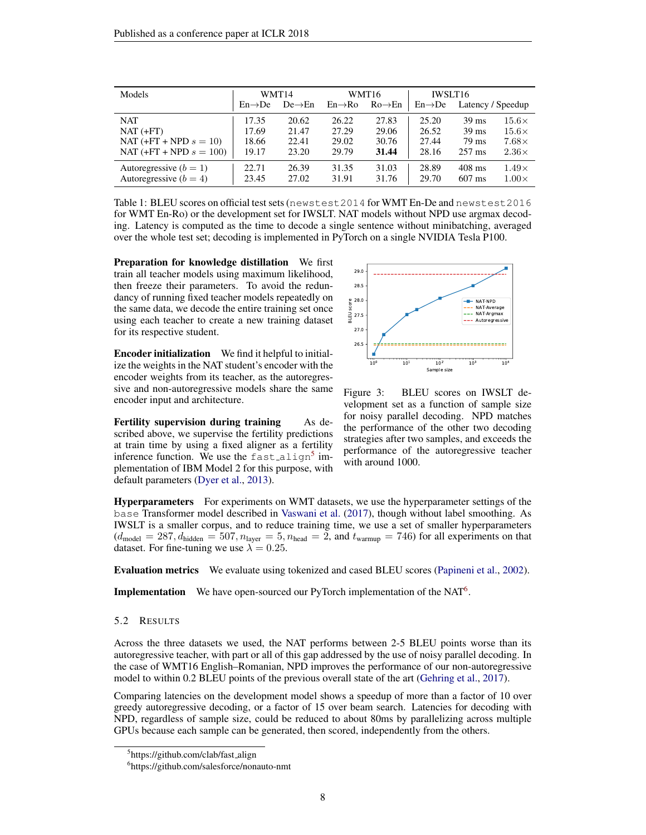| Models                                               | WMT14               |                     | WMT16               |                     | IWSLT16             |                      |                              |
|------------------------------------------------------|---------------------|---------------------|---------------------|---------------------|---------------------|----------------------|------------------------------|
|                                                      | $En \rightarrow De$ | $De \rightarrow En$ | $En \rightarrow Ro$ | $Ro \rightarrow En$ | $En \rightarrow De$ | Latency / Speedup    |                              |
| <b>NAT</b>                                           | 17.35               | 20.62               | 26.22               | 27.83               | 25.20               | $39 \text{ ms}$      | $15.6\times$                 |
| $NAT (+FT)$                                          | 17.69               | 21.47               | 27.29               | 29.06               | 26.52               | $39 \text{ ms}$      | $15.6\times$                 |
| NAT $(+FT + NPD s = 10)$                             | 18.66               | 22.41               | 29.02               | 30.76               | 27.44               | 79 ms                | $7.68\times$                 |
| NAT $(+FT + NPD s = 100)$                            | 19.17               | 23.20               | 29.79               | 31.44               | 28.16               | $257 \text{ ms}$     | $2.36\times$                 |
| Autoregressive $(b = 1)$<br>Autoregressive $(b = 4)$ | 22.71<br>23.45      | 26.39<br>27.02      | 31.35<br>31.91      | 31.03<br>31.76      | 28.89<br>29.70      | $408$ ms<br>$607$ ms | $1.49\times$<br>$1.00\times$ |

Table 1: BLEU scores on official test sets (newstest2014 for WMT En-De and newstest2016 for WMT En-Ro) or the development set for IWSLT. NAT models without NPD use argmax decoding. Latency is computed as the time to decode a single sentence without minibatching, averaged over the whole test set; decoding is implemented in PyTorch on a single NVIDIA Tesla P100.

Preparation for knowledge distillation We first train all teacher models using maximum likelihood, then freeze their parameters. To avoid the redundancy of running fixed teacher models repeatedly on the same data, we decode the entire training set once using each teacher to create a new training dataset for its respective student.

Encoder initialization We find it helpful to initialize the weights in the NAT student's encoder with the encoder weights from its teacher, as the autoregressive and non-autoregressive models share the same encoder input and architecture.

Fertility supervision during training As described above, we supervise the fertility predictions at train time by using a fixed aligner as a fertility inference function. We use the  $\texttt{fast}$ -align<sup>[5](#page-7-0)</sup> implementation of IBM Model 2 for this purpose, with default parameters [\(Dyer et al.,](#page-9-7) [2013\)](#page-9-7).



Figure 3: BLEU scores on IWSLT development set as a function of sample size for noisy parallel decoding. NPD matches the performance of the other two decoding strategies after two samples, and exceeds the performance of the autoregressive teacher with around 1000.

Hyperparameters For experiments on WMT datasets, we use the hyperparameter settings of the base Transformer model described in [Vaswani et al.](#page-10-2) [\(2017\)](#page-10-2), though without label smoothing. As IWSLT is a smaller corpus, and to reduce training time, we use a set of smaller hyperparameters  $(d_{\text{model}} = 287, d_{\text{hidden}} = 507, n_{\text{layer}} = 5, n_{\text{head}} = 2, \text{ and } t_{\text{warmup}} = 746)$  for all experiments on that dataset. For fine-tuning we use  $\lambda = 0.25$ .

Evaluation metrics We evaluate using tokenized and cased BLEU scores [\(Papineni et al.,](#page-10-8) [2002\)](#page-10-8).

**Implementation** We have open-sourced our PyTorch implementation of the NAT<sup>[6](#page-7-1)</sup>.

#### 5.2 RESULTS

Across the three datasets we used, the NAT performs between 2-5 BLEU points worse than its autoregressive teacher, with part or all of this gap addressed by the use of noisy parallel decoding. In the case of WMT16 English–Romanian, NPD improves the performance of our non-autoregressive model to within 0.2 BLEU points of the previous overall state of the art [\(Gehring et al.,](#page-9-2) [2017\)](#page-9-2).

Comparing latencies on the development model shows a speedup of more than a factor of 10 over greedy autoregressive decoding, or a factor of 15 over beam search. Latencies for decoding with NPD, regardless of sample size, could be reduced to about 80ms by parallelizing across multiple GPUs because each sample can be generated, then scored, independently from the others.

<span id="page-7-0"></span><sup>&</sup>lt;sup>5</sup>https://github.com/clab/fast\_align

<span id="page-7-1"></span><sup>6</sup> https://github.com/salesforce/nonauto-nmt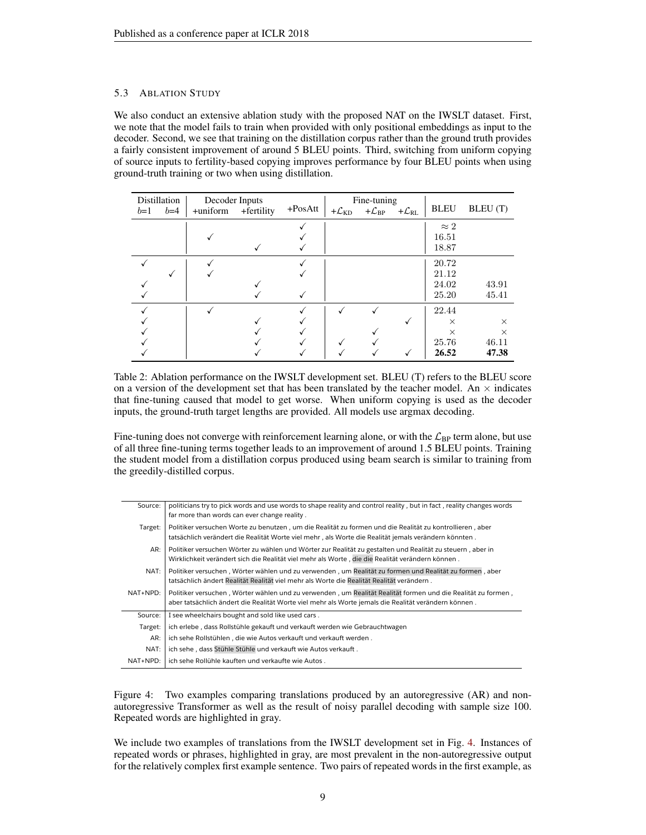# 5.3 ABLATION STUDY

We also conduct an extensive ablation study with the proposed NAT on the IWSLT dataset. First, we note that the model fails to train when provided with only positional embeddings as input to the decoder. Second, we see that training on the distillation corpus rather than the ground truth provides a fairly consistent improvement of around 5 BLEU points. Third, switching from uniform copying of source inputs to fertility-based copying improves performance by four BLEU points when using ground-truth training or two when using distillation.

| $b=1$ | Distillation<br>$b=4$ | Decoder Inputs<br>+uniform | +fertility | $+PosAtt$ | + $\mathcal{L}_{\mathrm{KD}}$ | Fine-tuning<br>$+\mathcal{L}_{\rm BP}$ | + $\mathcal{L}_{\rm RL}$ | <b>BLEU</b>                                     | BLEU (T)                               |
|-------|-----------------------|----------------------------|------------|-----------|-------------------------------|----------------------------------------|--------------------------|-------------------------------------------------|----------------------------------------|
|       |                       |                            |            |           |                               |                                        |                          | $\approx 2$<br>16.51<br>18.87                   |                                        |
|       |                       |                            |            |           |                               |                                        |                          | 20.72<br>21.12<br>24.02<br>25.20                | 43.91<br>45.41                         |
|       |                       |                            |            |           |                               |                                        |                          | 22.44<br>$\times$<br>$\times$<br>25.76<br>26.52 | $\times$<br>$\times$<br>46.11<br>47.38 |

Table 2: Ablation performance on the IWSLT development set. BLEU (T) refers to the BLEU score on a version of the development set that has been translated by the teacher model. An  $\times$  indicates that fine-tuning caused that model to get worse. When uniform copying is used as the decoder inputs, the ground-truth target lengths are provided. All models use argmax decoding.

Fine-tuning does not converge with reinforcement learning alone, or with the  $\mathcal{L}_{BP}$  term alone, but use of all three fine-tuning terms together leads to an improvement of around 1.5 BLEU points. Training the student model from a distillation corpus produced using beam search is similar to training from the greedily-distilled corpus.

| Source:  | politicians try to pick words and use words to shape reality and control reality, but in fact, reality changes words<br>far more than words can ever change reality.                                                 |
|----------|----------------------------------------------------------------------------------------------------------------------------------------------------------------------------------------------------------------------|
| Target:  | Politiker versuchen Worte zu benutzen, um die Realität zu formen und die Realität zu kontrollieren, aber<br>tatsächlich verändert die Realität Worte viel mehr, als Worte die Realität jemals verändern könnten.     |
| AR:      | Politiker versuchen Wörter zu wählen und Wörter zur Realität zu gestalten und Realität zu steuern, aber in<br>Wirklichkeit verändert sich die Realität viel mehr als Worte, die die Realität verändern können.       |
| NAT:     | Politiker versuchen, Wörter wählen und zu verwenden, um Realität zu formen und Realität zu formen, aber<br>tatsächlich ändert Realität Realität viel mehr als Worte die Realität Realität verändern.                 |
| NAT+NPD: | Politiker versuchen, Wörter wählen und zu verwenden, um Realität Realität formen und die Realität zu formen,<br>aber tatsächlich ändert die Realität Worte viel mehr als Worte jemals die Realität verändern können. |
| Source:  | I see wheelchairs bought and sold like used cars.                                                                                                                                                                    |
| Target:  | ich erlebe, dass Rollstühle gekauft und verkauft werden wie Gebrauchtwagen                                                                                                                                           |
| AR:      | ich sehe Rollstühlen, die wie Autos verkauft und verkauft werden.                                                                                                                                                    |
| NAT:     | ich sehe, dass Stühle Stühle und verkauft wie Autos verkauft.                                                                                                                                                        |
| NAT+NPD: | ich sehe Rollühle kauften und verkaufte wie Autos.                                                                                                                                                                   |

<span id="page-8-0"></span>Figure 4: Two examples comparing translations produced by an autoregressive (AR) and nonautoregressive Transformer as well as the result of noisy parallel decoding with sample size 100. Repeated words are highlighted in gray.

We include two examples of translations from the IWSLT development set in Fig. [4.](#page-8-0) Instances of repeated words or phrases, highlighted in gray, are most prevalent in the non-autoregressive output for the relatively complex first example sentence. Two pairs of repeated words in the first example, as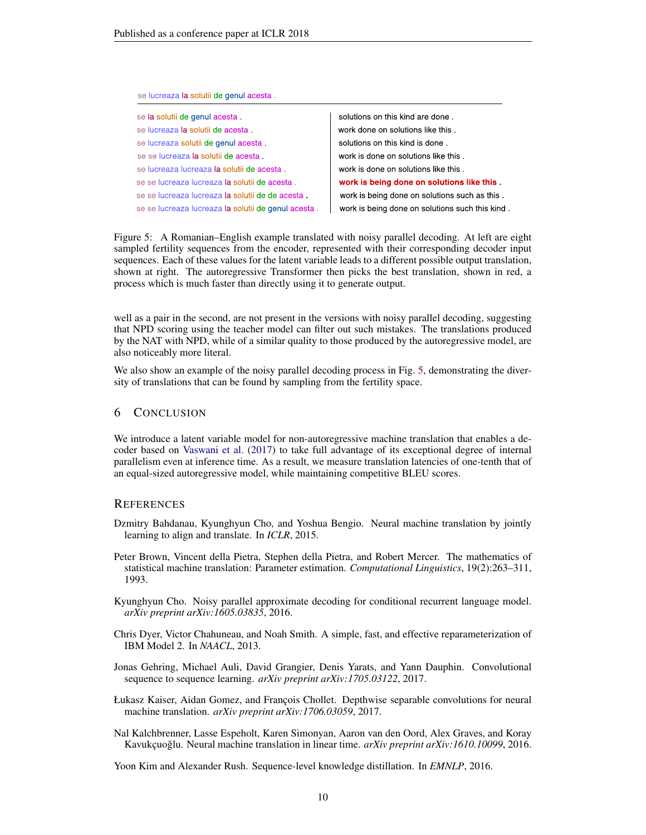| se lucreaza la solutii de genul acesta             |                                                |
|----------------------------------------------------|------------------------------------------------|
| se la solutii de genul acesta                      | solutions on this kind are done.               |
| se lucreaza la solutii de acesta                   | work done on solutions like this.              |
| se lucreaza solutii de genul acesta                | solutions on this kind is done.                |
| se se lucreaza la solutii de acesta                | work is done on solutions like this.           |
| se lucreaza lucreaza la solutii de acesta          | work is done on solutions like this.           |
| se se lucreaza lucreaza la solutii de acesta       | work is being done on solutions like this.     |
| se se lucreaza lucreaza la solutii de de acesta    | work is being done on solutions such as this.  |
| se se lucreaza lucreaza la solutii de genul acesta | work is being done on solutions such this kind |
|                                                    |                                                |

<span id="page-9-8"></span>Figure 5: A Romanian–English example translated with noisy parallel decoding. At left are eight sampled fertility sequences from the encoder, represented with their corresponding decoder input sequences. Each of these values for the latent variable leads to a different possible output translation, shown at right. The autoregressive Transformer then picks the best translation, shown in red, a process which is much faster than directly using it to generate output.

well as a pair in the second, are not present in the versions with noisy parallel decoding, suggesting that NPD scoring using the teacher model can filter out such mistakes. The translations produced by the NAT with NPD, while of a similar quality to those produced by the autoregressive model, are also noticeably more literal.

We also show an example of the noisy parallel decoding process in Fig. [5,](#page-9-8) demonstrating the diversity of translations that can be found by sampling from the fertility space.

# 6 CONCLUSION

We introduce a latent variable model for non-autoregressive machine translation that enables a decoder based on [Vaswani et al.](#page-10-2) [\(2017\)](#page-10-2) to take full advantage of its exceptional degree of internal parallelism even at inference time. As a result, we measure translation latencies of one-tenth that of an equal-sized autoregressive model, while maintaining competitive BLEU scores.

# **REFERENCES**

- <span id="page-9-0"></span>Dzmitry Bahdanau, Kyunghyun Cho, and Yoshua Bengio. Neural machine translation by jointly learning to align and translate. In *ICLR*, 2015.
- <span id="page-9-4"></span>Peter Brown, Vincent della Pietra, Stephen della Pietra, and Robert Mercer. The mathematics of statistical machine translation: Parameter estimation. *Computational Linguistics*, 19(2):263–311, 1993.
- <span id="page-9-5"></span>Kyunghyun Cho. Noisy parallel approximate decoding for conditional recurrent language model. *arXiv preprint arXiv:1605.03835*, 2016.
- <span id="page-9-7"></span>Chris Dyer, Victor Chahuneau, and Noah Smith. A simple, fast, and effective reparameterization of IBM Model 2. In *NAACL*, 2013.
- <span id="page-9-2"></span>Jonas Gehring, Michael Auli, David Grangier, Denis Yarats, and Yann Dauphin. Convolutional sequence to sequence learning. *arXiv preprint arXiv:1705.03122*, 2017.
- <span id="page-9-3"></span>Łukasz Kaiser, Aidan Gomez, and François Chollet. Depthwise separable convolutions for neural machine translation. *arXiv preprint arXiv:1706.03059*, 2017.
- <span id="page-9-1"></span>Nal Kalchbrenner, Lasse Espeholt, Karen Simonyan, Aaron van den Oord, Alex Graves, and Koray Kavukçuoğlu. Neural machine translation in linear time. *arXiv preprint arXiv:1610.10099*, 2016.

<span id="page-9-6"></span>Yoon Kim and Alexander Rush. Sequence-level knowledge distillation. In *EMNLP*, 2016.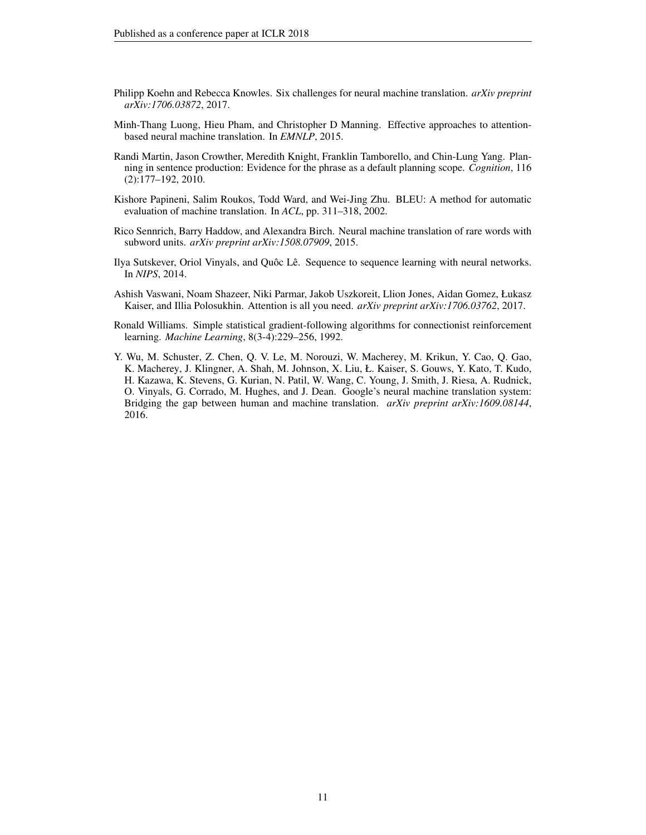- <span id="page-10-4"></span>Philipp Koehn and Rebecca Knowles. Six challenges for neural machine translation. *arXiv preprint arXiv:1706.03872*, 2017.
- <span id="page-10-0"></span>Minh-Thang Luong, Hieu Pham, and Christopher D Manning. Effective approaches to attentionbased neural machine translation. In *EMNLP*, 2015.
- <span id="page-10-5"></span>Randi Martin, Jason Crowther, Meredith Knight, Franklin Tamborello, and Chin-Lung Yang. Planning in sentence production: Evidence for the phrase as a default planning scope. *Cognition*, 116 (2):177–192, 2010.
- <span id="page-10-8"></span>Kishore Papineni, Salim Roukos, Todd Ward, and Wei-Jing Zhu. BLEU: A method for automatic evaluation of machine translation. In *ACL*, pp. 311–318, 2002.
- <span id="page-10-7"></span>Rico Sennrich, Barry Haddow, and Alexandra Birch. Neural machine translation of rare words with subword units. *arXiv preprint arXiv:1508.07909*, 2015.
- <span id="page-10-3"></span>Ilya Sutskever, Oriol Vinyals, and Quôc Lê. Sequence to sequence learning with neural networks. In *NIPS*, 2014.
- <span id="page-10-2"></span>Ashish Vaswani, Noam Shazeer, Niki Parmar, Jakob Uszkoreit, Llion Jones, Aidan Gomez, Łukasz Kaiser, and Illia Polosukhin. Attention is all you need. *arXiv preprint arXiv:1706.03762*, 2017.
- <span id="page-10-6"></span>Ronald Williams. Simple statistical gradient-following algorithms for connectionist reinforcement learning. *Machine Learning*, 8(3-4):229–256, 1992.
- <span id="page-10-1"></span>Y. Wu, M. Schuster, Z. Chen, Q. V. Le, M. Norouzi, W. Macherey, M. Krikun, Y. Cao, Q. Gao, K. Macherey, J. Klingner, A. Shah, M. Johnson, X. Liu, Ł. Kaiser, S. Gouws, Y. Kato, T. Kudo, H. Kazawa, K. Stevens, G. Kurian, N. Patil, W. Wang, C. Young, J. Smith, J. Riesa, A. Rudnick, O. Vinyals, G. Corrado, M. Hughes, and J. Dean. Google's neural machine translation system: Bridging the gap between human and machine translation. *arXiv preprint arXiv:1609.08144*, 2016.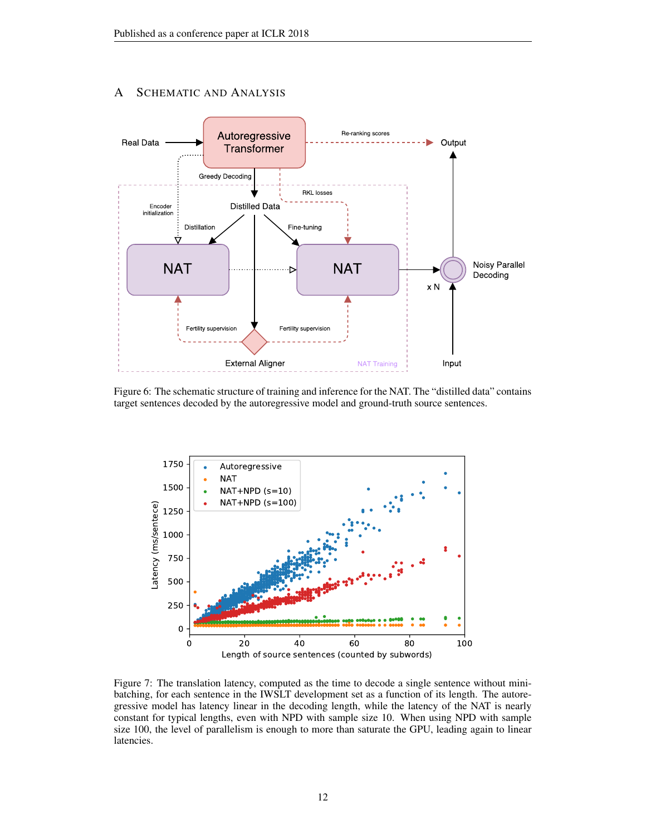# A SCHEMATIC AND ANALYSIS



Figure 6: The schematic structure of training and inference for the NAT. The "distilled data" contains target sentences decoded by the autoregressive model and ground-truth source sentences.



Figure 7: The translation latency, computed as the time to decode a single sentence without minibatching, for each sentence in the IWSLT development set as a function of its length. The autoregressive model has latency linear in the decoding length, while the latency of the NAT is nearly constant for typical lengths, even with NPD with sample size 10. When using NPD with sample size 100, the level of parallelism is enough to more than saturate the GPU, leading again to linear latencies.